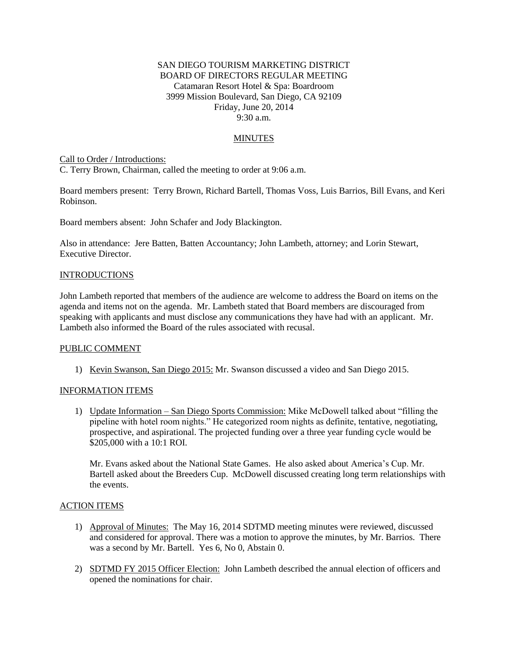## SAN DIEGO TOURISM MARKETING DISTRICT BOARD OF DIRECTORS REGULAR MEETING Catamaran Resort Hotel & Spa: Boardroom 3999 Mission Boulevard, San Diego, CA 92109 Friday, June 20, 2014 9:30 a.m.

## MINUTES

Call to Order / Introductions:

C. Terry Brown, Chairman, called the meeting to order at 9:06 a.m.

Board members present: Terry Brown, Richard Bartell, Thomas Voss, Luis Barrios, Bill Evans, and Keri Robinson.

Board members absent: John Schafer and Jody Blackington.

Also in attendance: Jere Batten, Batten Accountancy; John Lambeth, attorney; and Lorin Stewart, Executive Director.

### INTRODUCTIONS

John Lambeth reported that members of the audience are welcome to address the Board on items on the agenda and items not on the agenda. Mr. Lambeth stated that Board members are discouraged from speaking with applicants and must disclose any communications they have had with an applicant. Mr. Lambeth also informed the Board of the rules associated with recusal.

#### PUBLIC COMMENT

1) Kevin Swanson, San Diego 2015: Mr. Swanson discussed a video and San Diego 2015.

### INFORMATION ITEMS

1) Update Information – San Diego Sports Commission: Mike McDowell talked about "filling the pipeline with hotel room nights." He categorized room nights as definite, tentative, negotiating, prospective, and aspirational. The projected funding over a three year funding cycle would be \$205,000 with a 10:1 ROI.

Mr. Evans asked about the National State Games. He also asked about America's Cup. Mr. Bartell asked about the Breeders Cup. McDowell discussed creating long term relationships with the events.

#### ACTION ITEMS

- 1) Approval of Minutes: The May 16, 2014 SDTMD meeting minutes were reviewed, discussed and considered for approval. There was a motion to approve the minutes, by Mr. Barrios. There was a second by Mr. Bartell. Yes 6, No 0, Abstain 0.
- 2) SDTMD FY 2015 Officer Election: John Lambeth described the annual election of officers and opened the nominations for chair.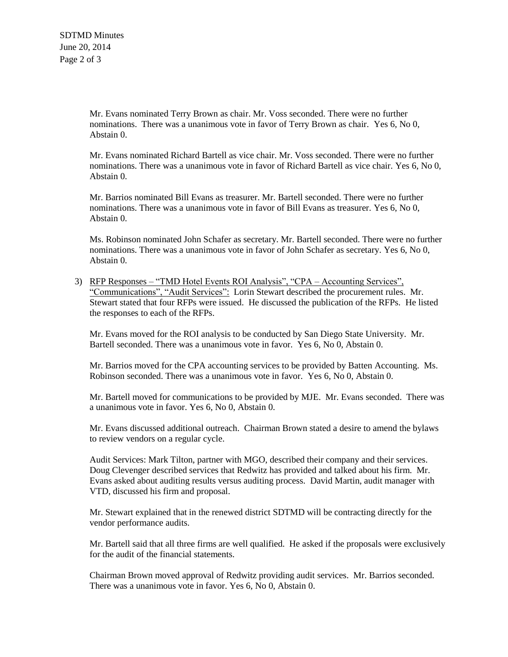Mr. Evans nominated Terry Brown as chair. Mr. Voss seconded. There were no further nominations. There was a unanimous vote in favor of Terry Brown as chair. Yes 6, No 0, Abstain 0.

Mr. Evans nominated Richard Bartell as vice chair. Mr. Voss seconded. There were no further nominations. There was a unanimous vote in favor of Richard Bartell as vice chair. Yes 6, No 0, Abstain 0.

Mr. Barrios nominated Bill Evans as treasurer. Mr. Bartell seconded. There were no further nominations. There was a unanimous vote in favor of Bill Evans as treasurer. Yes 6, No 0, Abstain 0.

Ms. Robinson nominated John Schafer as secretary. Mr. Bartell seconded. There were no further nominations. There was a unanimous vote in favor of John Schafer as secretary. Yes 6, No 0, Abstain 0.

3) RFP Responses – "TMD Hotel Events ROI Analysis", "CPA – Accounting Services", "Communications", "Audit Services": Lorin Stewart described the procurement rules. Mr. Stewart stated that four RFPs were issued. He discussed the publication of the RFPs. He listed the responses to each of the RFPs.

Mr. Evans moved for the ROI analysis to be conducted by San Diego State University. Mr. Bartell seconded. There was a unanimous vote in favor. Yes 6, No 0, Abstain 0.

Mr. Barrios moved for the CPA accounting services to be provided by Batten Accounting. Ms. Robinson seconded. There was a unanimous vote in favor. Yes 6, No 0, Abstain 0.

Mr. Bartell moved for communications to be provided by MJE. Mr. Evans seconded. There was a unanimous vote in favor. Yes 6, No 0, Abstain 0.

Mr. Evans discussed additional outreach. Chairman Brown stated a desire to amend the bylaws to review vendors on a regular cycle.

Audit Services: Mark Tilton, partner with MGO, described their company and their services. Doug Clevenger described services that Redwitz has provided and talked about his firm. Mr. Evans asked about auditing results versus auditing process. David Martin, audit manager with VTD, discussed his firm and proposal.

Mr. Stewart explained that in the renewed district SDTMD will be contracting directly for the vendor performance audits.

Mr. Bartell said that all three firms are well qualified. He asked if the proposals were exclusively for the audit of the financial statements.

Chairman Brown moved approval of Redwitz providing audit services. Mr. Barrios seconded. There was a unanimous vote in favor. Yes 6, No 0, Abstain 0.